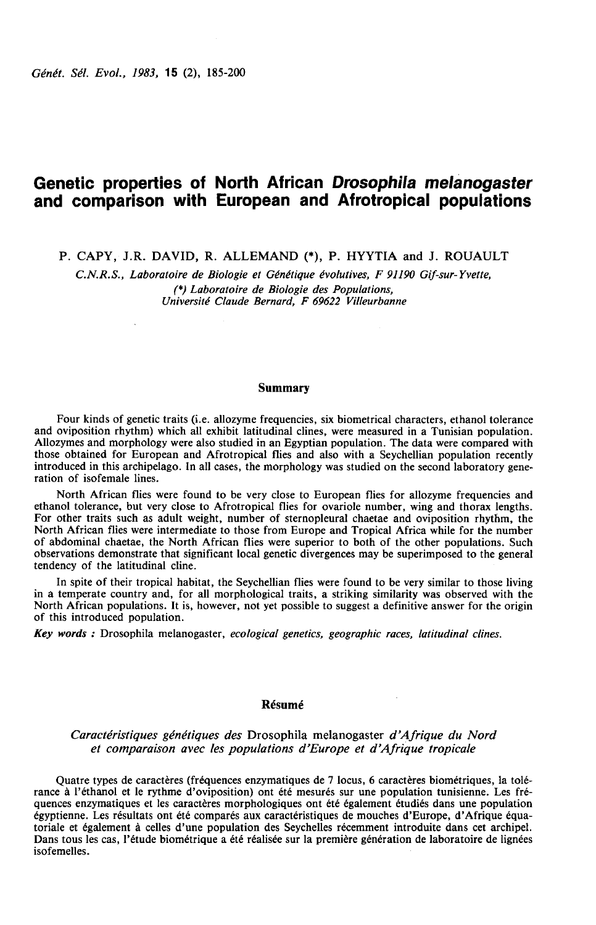# Genetic properties of North African Drosophila melanogaster and comparison with European and Afrotropical populations

P. CAPY, J.R. DAVID, R. ALLEMAND (\*), P. HYYTIA and J. ROUAULT

C.N.R.S., Laboratoire de Biologie et Génétique évolutives, F 91190 Gif-sur- Yvette, (·) Laboratoire de Biologie des Populations, Université Claude Bernard, F 69622 Villeurbanne

#### Summary

Four kinds of genetic traits (i.e. allozyme frequencies, six biometrical characters, ethanol tolerance and oviposition rhythm) which all exhibit latitudinal clines, were measured in a Tunisian population. Allozymes and morphology were also studied in an Egyptian population. The data were compared with those obtained for European and Afrotropical flies and also with a Seychellian population recently introduced in this archipelago. In all cases, the morphology was studied on the second laboratory gene ration of isofemale lines.

North African flies were found to be very close to European flies for allozyme frequencies and ethanol tolerance, but very close to Afrotropical flies for ovariole number, wing and thorax lengths. ethanol tolerance, but very close to Afrotropical flies for ovariole number, wing and thorax lengths.<br>For other traits such as adult weight, number of sternopleural chaetae and oviposition rhythm, the North African flies were intermediate to those from Europe and Tropical Africa while for the number of abdominal chaetae, the North African flies were superior to both of the other populations. Such observations demonstrate that significant local genetic divergences may be superimposed to the general tendency of the latitudinal cline.

In spite of their tropical habitat, the Seychellian flies were found to be very similar to those living in a temperate country and, for all morphological traits, a striking similarity was observed with the North African populations. It is, however, not yet possible to suggest a definitive answer for the origin of this introduced population.

Key words : Drosophila melanogaster, ecological genetics, geographic races, latitudinal clines.

## Résumé

### Caractéristiques génétiques des Drosophila melanogaster d'Afrique du Nord et comparaison avec les populations d'Europe et d'Afrique tropicale

Quatre types de caractères (fréquences enzymatiques de 7 locus, 6 caractères biométriques, la tolérance à l'éthanol et le rythme d'oviposition) ont été mesurés sur une population tunisienne. Les fréquences enzymatiques et les caractères morphologiques ont été également étudiés dans une population égyptienne. Les résultats ont été comparés aux caractéristiques de mouches d'Europe, d'Afrique équatoriale et également à celles d'une population des Seychelles récemment introduite dans cet archipel. Dans tous les cas, l'étude biométrique a été réalisée sur la première génération de laboratoire de lignées isofemelles.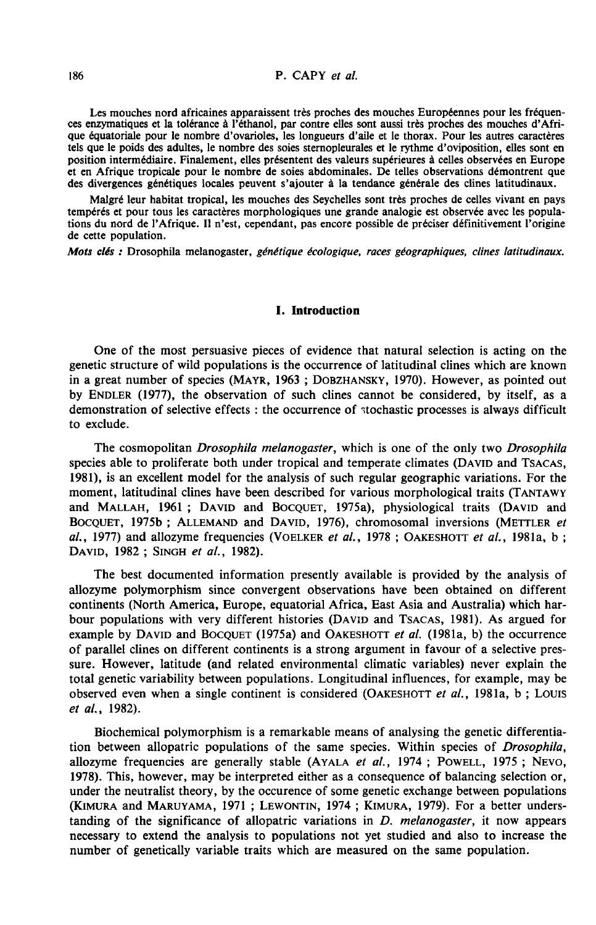### P. CAPY et al.

Les mouches nord africaines apparaissent très proches des mouches Européennes pour les fréquen ces enzymatiques et la tolérance à l'éthanol, par contre elles sont aussi très proches des mouches d'Afrique équatoriale pour le nombre d'ovarioles, les longueurs d'aile et le thorax. Pour les autres caractères tels que le poids des adultes, le nombre des soies sternopleurales et le rythme d'oviposition, elles sont en<br>position intermédiaire. Finalement, elles présentent des valeurs supérieures à celles observées en Europe et en Afrique tropicale pour le nombre de soies abdominales. De telles observations démontrent que des divergences génétiques locales peuvent s'ajouter à la tendance générale des clines latitudinaux.

Malgré leur habitat tropical, les mouches des Seychelles sont très proches de celles vivant en pays tempérés et pour tous les caractères morphologiques une grande analogie est observée avec les populations du nord de l'Afrique. Il n'est, cependant, pas encore possible de préciser définitivement l'origine de cette population.

Mots clés : Drosophila melanogaster, génétique écologique, races géographiques, clines latitudinaux.

# I. Introduction

One of the most persuasive pieces of evidence that natural selection is acting on the genetic structure of wild populations is the occurrence of latitudinal clines which are known<br>in a great number of species (MAYR, 1963; DOBZHANSKY, 1970). However, as pointed out I. Introduction<br>
One of the most persuasive pieces of evidence that natural selection is acting on the<br>
genetic structure of wild populations is the occurrence of latitudinal clines which are known<br>
in a great number of sp demonstration of selective effects : the occurrence of stochastic processes is always difficult to exclude.

The cosmopolitan *Drosophila melanogaster*, which is one of the only two *Drosophila* species able to proliferate both under tropical and temperate climates (DAVID and TSACAS, 1981), is an excellent model for the analysis of such regular geographic variations. For the species able to proliferate both under tropical and temperate climates (DAVID and TSACAS, 1981), is an excellent model for the analysis of such regular geographic variations. For the moment, latitudinal clines have been de Ine cosmopolitan *Drosophila melanogaster*, which is one of the only two *Drosophila*<br>species able to proliferate both under tropical and temperate climates (DAVID and TSACAS,<br>1981), is an excellent model for the analysis The cosmopolitan *Drosophila melanogaster*, which is one of the only two *Drosophila*<br>species able to proliferate both under tropical and temperate climates (DAVID and TSACAS,<br>1981), is an excellent model for the analysis and MALLAH, 1961; DAVID and BOCQUET, 1975a), physiological traits (DAVID and BOCQUET, 1975b; ALLEMAND and DAVID, 1976), chromosomal inversions (METTLER *et al.*, 1977) and allozyme frequencies (VOELKER *et al.*, 1978; OAKE

The best documented information presently available is provided by the analysis of allozyme polymorphism since convergent observations have been obtained on different continents (North America, Europe, equatorial Africa, East Asia and Australia) which har-The best documented information presently available is provided by the analysis of allozyme polymorphism since convergent observations have been obtained on different continents (North America, Europe, equatorial Africa, E bour populations with very different histories (DAVID and TSACAS, 1981). As argued for example by DAVID and BOCQUET (1975a) and OAKESHOTT *et al.* (1981a, b) the occurrence of parallel clines on different continents is a strong argument in favour of a selective pressure. However, latitude (and related environmental climatic variables) never explain the total genetic variability between populations. Longitudinal influences, for example, may be observed even when a single continent is considered (OAKESHOTT *et al.*, 1981a, b; LOUIS of parallel clines on different continents is a strong argument in favour of a selective pressure. However, latitude (and related environmental climatic variables) never explain the total genetic variability between popula et al., 1982).

Biochemical polymorphism is a remarkable means of analysing the genetic differentiation between allopatric populations of the same species. Within species of *Drosophila*, et al., 1982).<br>Biochemical polymorphism is a remarkable means of analysing the genetic differentia-<br>tion between allopatric populations of the same species. Within species of *Drosophila*,<br>allozyme frequencies are generall 1978). This, however, may be interpreted either as a consequence of balancing selection or, under the neutralist theory, by the occurence of some genetic exchange between populations Biochemical polymorphism is a remarkable means of analysing the genetic differentia-<br>tion between allopatric populations of the same species. Within species of *Drosophila*,<br>allozyme frequencies are generally stable (AYALA tanding of the significance of allopatric variations in  $D$ . *melanogaster*, it now appears necessary to extend the analysis to populations not yet studied and also to increase the number of genetically variable traits which are measured on the same population.

186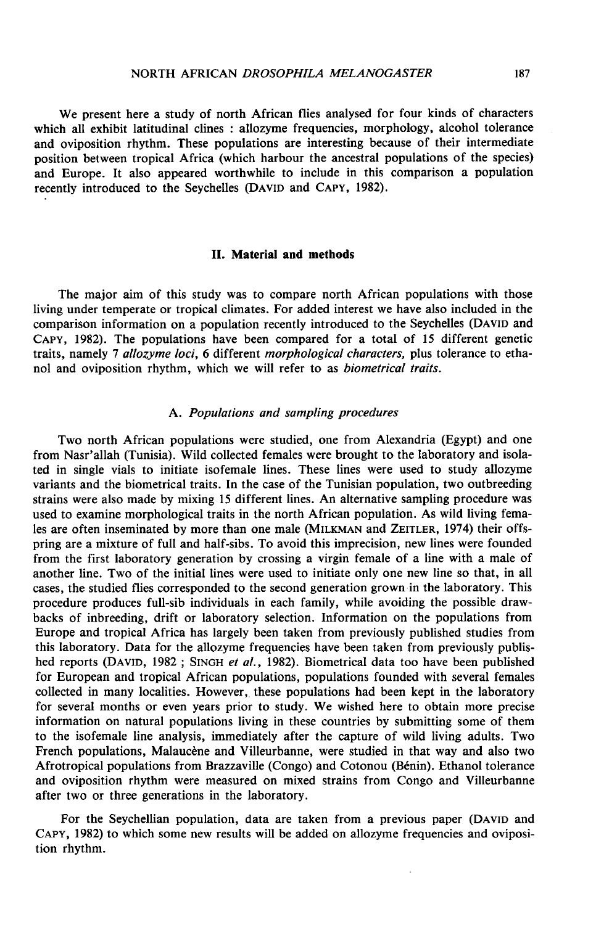We present here a study of north African flies analysed for four kinds of characters which all exhibit latitudinal clines : allozyme frequencies, morphology, alcohol tolerance and oviposition rhythm. These populations are interesting because of their intermediate position between tropical Africa (which harbour the ancestral populations of the species) and Europe. It also appeared worthwhile to include in this comparison a population position between tropical Africa (which harbour the ancestral 1<br>and Europe. It also appeared worthwhile to include in this<br>recently introduced to the Seychelles (DAVID and CAPY, 1982).

### II. Material and methods

The major aim of this study was to compare north African populations with those living under temperate or tropical climates. For added interest we have also included in the comparison information on a population recently introduced to the Seychelles (DAVID and living under temperate or tropical climates. For added interest we have also included in the comparison information on a population recently introduced to the Seychelles (DAVID and CAPY, 1982). The populations have been co traits, namely 7 allozyme loci, 6 different morphological characters, plus tolerance to ethanol and oviposition rhythm, which we will refer to as biometrical traits.

### A. Populations and sampling procedures

Two north African populations were studied, one from Alexandria (Egypt) and one from Nasr'allah (Tunisia). Wild collected females were brought to the laboratory and isolated in single vials to initiate isofemale lines. These lines were used to study allozyme variants and the biometrical traits. In the case of the Tunisian population, two outbreeding strains were also made by mixing 15 different lines. An alternative sampling procedure was used to examine morphological traits in the north African population. As wild living females are often inseminated by mixing 15 different lines. An alternative sampling procedure was used to examine morphological traits in the north African population, two outbreeding strains were also made by mixing 15 differ pring are a mixture of full and half-sibs. To avoid this imprecision, new lines were founded from the first laboratory generation by crossing a virgin female of a line with a male of another line. Two of the initial lines were used to initiate only one new line so that, in all cases, the studied flies corresponded to the second generation grown in the laboratory. This procedure produces full-sib individuals in each family, while avoiding the possible drawbacks of inbreeding, drift or laboratory selection. Information on the populations from Europe and tropical Africa has largely been taken from previously published studies from<br>this laboratory. Data for the allozyme frequencies have been taken from previously publis-<br>hed reports (DAVID, 1982 ; SINGH *et al.*, this laboratory. Data for the allozyme frequencies have been taken from previously publis-<br>hed reports (DAVID, 1982; SINGH et al., 1982). Biometrical data too have been published for European and tropical African populations, populations founded with several females collected in many localities. However, these populations had been kept in the laboratory for several months or even years prior to study. We wished here to obtain more precise information on natural populations living in these countries by submitting some of them to the isofemale line analysis, immediately after the capture of wild living adults. Two French populations, Malaucène and Villeurbanne, were studied in that way and also two Afrotropical populations from Brazzaville (Congo) and Cotonou (Benin). Ethanol tolerance and oviposition rhythm were measured on mixed strains from Congo and Villeurbanne after two or three generations in the laboratory.

For the Seychellian population, data are taken from a previous paper (DAVID and CAPY, 1982) to which some new results will be added on allozyme frequencies and oviposition rhythm.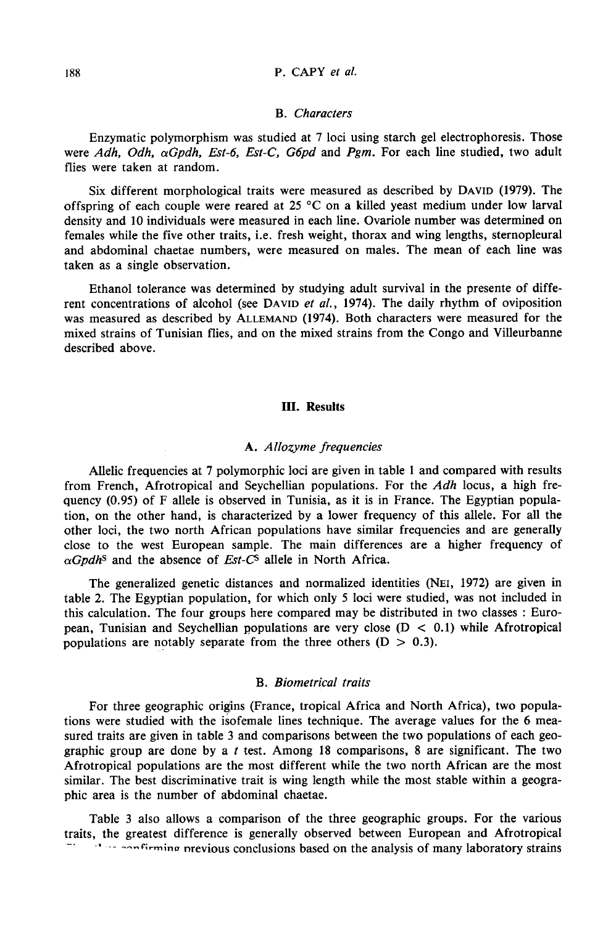## P. CAPY et al.

#### B. Characters

Enzymatic polymorphism was studied at 7 loci using starch gel electrophoresis. Those were Adh, Odh,  $\alpha G$ pdh, Est-6, Est-C, G6pd and Pgm. For each line studied, two adult flies were taken at random.

Six different morphological traits were measured as described by DAVID (1979). The offspring of each couple were reared at 25  $\degree$ C on a killed yeast medium under low larval density and 10 individuals were measured in each line. Ovariole number was determined on females while the five other traits, i.e. fresh weight, thorax and wing lengths, sternopleural and abdominal chaetae numbers, were measured on males. The mean of each line was taken as a single observation.

Ethanol tolerance was determined by studying adult survival in the presente of different concentrations of alcohol (see DAVID et al., 1974). The daily rhythm of oviposition was measured as described by ALLEMAND (1974). Both characters were measured for the mixed strains of Tunisian flies, and on the mixed strains from the Congo and Villeurbanne described above.

#### III. Results

#### A. Allozyme frequencies

Allelic frequencies at 7 polymorphic loci are given in table 1 and compared with results from French, Afrotropical and Seychellian populations. For the Adh locus, a high frequency (0.95) of F allele is observed in Tunisia, as it is in France. The Egyptian population, on the other hand, is characterized by a lower frequency of this allele. For all the other loci, the two north African populations have similar frequencies and are generally close to the west European sample. The main differences are a higher frequency of tion, on the other hand, is characterized by a lower frequenties of the two north African populations have similar close to the west European sample. The main difference  $\alpha Gpdh^s$  and the absence of *Est-C*<sup>s</sup> allele in N  $\alpha G \rho dh^s$  and the absence of *Est-C*<sup>s</sup> allele in North Africa.<br>The generalized genetic distances and normalized identities (NEI, 1972) are given in

table 2. The Egyptian population, for which only 5 loci were studied, was not included in this calculation. The four groups here compared may be distributed in two classes : European, Tunisian and Seychellian populations are very close  $(D < 0.1)$  while Afrotropical populations are notably separate from the three others  $(D > 0.3)$ .

# B. Biometrical traits

For three geographic origins (France, tropical Africa and North Africa), two populations were studied with the isofemale lines technique. The average values for the 6 measured traits are given in table 3 and comparisons between the two populations of each geographic group are done by a  $t$  test. Among 18 comparisons, 8 are significant. The two Afrotropical populations are the most different while the two north African are the most similar. The best discriminative trait is wing length while the most stable within a geographic area is the number of abdominal chaetae.

Table 3 also allows a comparison of the three geographic groups. For the various traits, the greatest difference is generally observed between European and Afrotropical !' ' "confirming previous conclusions based on the analysis of many laboratory strains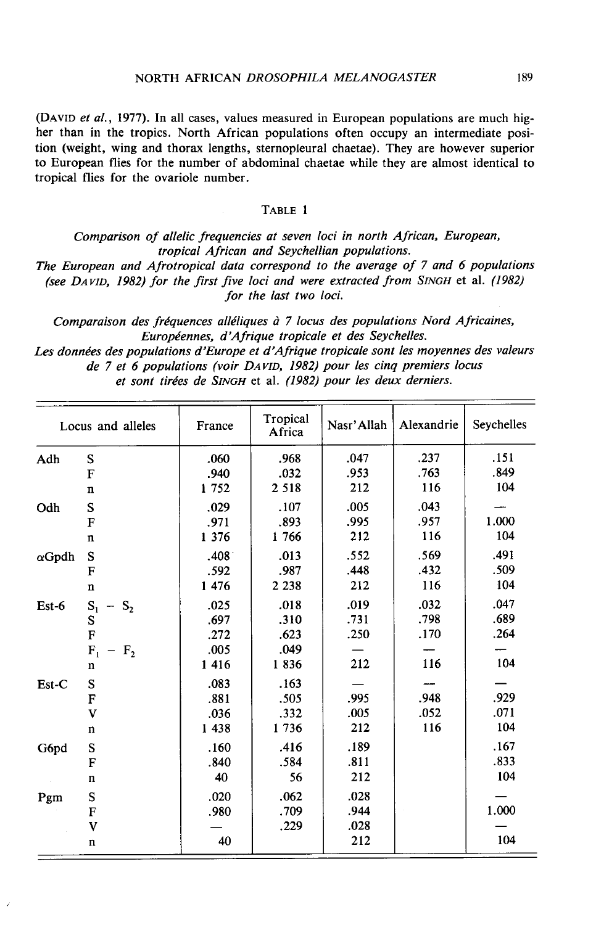(DAVID et al., 1977). In all cases, values measured in European populations are much higher than in the tropics. North African populations often occupy an intermediate position (weight, wing and thorax lengths, sternopleural chaetae). They are however superior to European flies for the number of abdominal chaetae while they are almost identical to tropical flies for the ovariole number.

# TABLE 1

Comparison of allelic frequencies at seven loci in north African, European, tropical African and Seychellian populations.

The European and Afrotropical data correspond to the average of 7 and 6 populations (see DAVID, 1982) for the first five loci and were extracted from SINGH et al. (1982) for the last two loci.

Comparaison des fréquences alléliques à 7 locus des populations Nord Africaines, Européennes, d'Afrique tropicale et des Seychelles.

Les données des populations d'Europe et d'Afrique tropicale sont les moyennes des valeurs de 7 et 6 populations (voir DAVID, 1982) pour les cinq premiers locus

|               | Locus and alleles                                                                                        | France                               | Tropical<br>Africa                   | Nasr' Allah                 | Alexandrie                  | Seychelles                  |
|---------------|----------------------------------------------------------------------------------------------------------|--------------------------------------|--------------------------------------|-----------------------------|-----------------------------|-----------------------------|
| Adh           | S<br>F<br>$\mathbf n$                                                                                    | .060<br>.940<br>1 752                | .968<br>.032<br>2 5 1 8              | .047<br>.953<br>212         | .237<br>.763<br>116         | .151<br>.849<br>104         |
| Odh           | S<br>$\mathbf F$<br>$\mathbf n$                                                                          | .029<br>.971<br>1 376                | .107<br>.893<br>1766                 | .005<br>.995<br>212         | .043<br>.957<br>116         | 1.000<br>104                |
| $\alpha$ Gpdh | S<br>F<br>$\mathbf n$                                                                                    | .408 <sup>°</sup><br>.592<br>1 4 7 6 | .013<br>.987<br>2 2 3 8              | .552<br>.448<br>212         | .569<br>.432<br>116         | .491<br>.509<br>104         |
| Est-6         | $S_1$<br>S <sub>2</sub><br>$\overline{\phantom{m}}$<br>S<br>$\overline{F}$<br>$F_1 - F_2$<br>$\mathbf n$ | .025<br>.697<br>.272<br>.005<br>1416 | .018<br>.310<br>.623<br>.049<br>1836 | .019<br>.731<br>.250<br>212 | .032<br>.798<br>.170<br>116 | .047<br>.689<br>.264<br>104 |
| Est-C         | S<br>F<br>V<br>n                                                                                         | .083<br>.881<br>.036<br>1438         | .163<br>.505<br>.332<br>1736         | .995<br>.005<br>212         | .948<br>.052<br>116         | .929<br>.071<br>104         |
| G6pd          | S<br>F<br>$\mathbf n$                                                                                    | .160<br>.840<br>40                   | .416<br>.584<br>56                   | .189<br>.811<br>212         |                             | .167<br>.833<br>104         |
| Pgm           | S<br>F<br>$\mathbf{V}$<br>n                                                                              | .020<br>.980<br>40                   | .062<br>.709<br>.229                 | .028<br>.944<br>.028<br>212 |                             | 1.000<br>104                |

et sont tirées de SINGH et al. (1982) pour les deux derniers.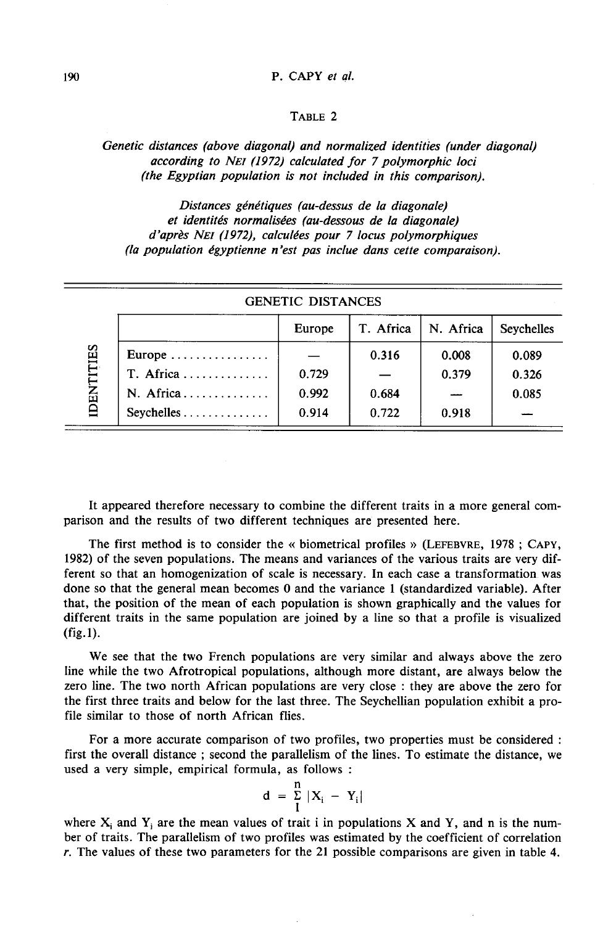# P. CAPY et al.

# TABLE 2

Genetic distances (above diagonal) and normalized identities (under diagonal) according to NEI (1972) calculated for 7 polymorphic loci (the Egyptian population is not included in this comparison).

Distances génétiques (au-dessus de la diagonale) et identités normalisées (au-dessous de la diagonale) d'après NEI (1972), calculées pour 7 locus polymorphiques (la population égyptienne n'est pas inclue dans cette comparaison).

|              | <b>GENETIC DISTANCES</b>           |        |           |           |            |  |  |  |  |
|--------------|------------------------------------|--------|-----------|-----------|------------|--|--|--|--|
|              |                                    | Europe | T. Africa | N. Africa | Sevchelles |  |  |  |  |
| <b>ITIES</b> | Europe $\dots\dots\dots\dots\dots$ |        | 0.316     | 0.008     | 0.089      |  |  |  |  |
| <b>IDEN</b>  | T. Africa                          | 0.729  |           | 0.379     | 0.326      |  |  |  |  |
|              | $N.$ Africa                        | 0.992  | 0.684     |           | 0.085      |  |  |  |  |
|              | Seychelles                         | 0.914  | 0.722     | 0.918     |            |  |  |  |  |

It appeared therefore necessary to combine the different traits in a more general comparison and the results of two different techniques are presented here.

The first method is to consider the « biometrical profiles » (LEFEBVRE, 1978 ; CAPY, 1982) of the seven populations. The means and variances of the various traits are very different so that an homogenization of scale is necessary. In each case a transformation was done so that the general mean becomes 0 and the variance 1 (standardized variable). After that, the position of the mean of each population is shown graphically and the values for different traits in the same population are joined by a line so that a profile is visualized  $(fig. 1)$ .

We see that the two French populations are very similar and always above the zero line while the two Afrotropical populations, although more distant, are always below the zero line. The two north African populations are very close : they are above the zero for the first three traits and below for the last three. The Seychellian population exhibit a profile similar to those of north African flies.

For a more accurate comparison of two profiles, two properties must be considered : first the overall distance ; second the parallelism of the lines. To estimate the distance, we used a very simple, empirical formula, as follows :

$$
d = \frac{n}{l} |X_i - Y_i|
$$

where  $X_i$  and  $Y_i$  are the mean values of trait i in populations X and Y, and n is the number of traits. The parallelism of two profiles was estimated by the coefficient of correlation r. The values of these two parameters for the 21 possible comparisons are given in table 4.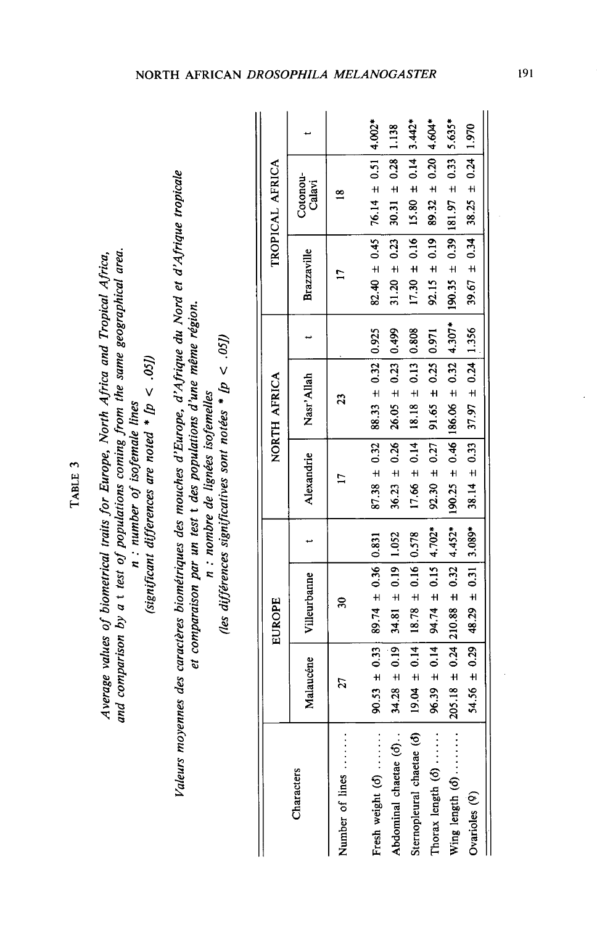TABLE 3

and comparison by a t test of populations coming from the same geographical area. Average values of biometrical traits for Europe, North Africa and Tropical Africa, n : number of isofemale lines

(significant differences are noted \*  $[p < .05]$ )

Valeurs moyennes des caractères biométriques des mouches d'Europe, d'Afrique du Nord et d'Afrique tropicale et comparaison par un test t des populations d'une même région.

n : nombre de lignées isofemelles

(les différences significatives sont notées \*  $[p < .05]$ )

|                           |                  | <b>EUROPE</b>                           |                  | NORTH AFRICA                                                                                                            |                  | TROPICAL AFRICA                          |           |
|---------------------------|------------------|-----------------------------------------|------------------|-------------------------------------------------------------------------------------------------------------------------|------------------|------------------------------------------|-----------|
| Characters                | Malaucéne        | Villeurbanne                            | Alexandrie       | Nasr' Allah                                                                                                             | Brazzaville      | Cotonou-<br>Calavi                       |           |
| Number of lines           | 21               | ≋                                       |                  | 23                                                                                                                      |                  | ≊                                        |           |
| Fresh weight (o)          |                  | $90.53 \pm 0.33$ 89.74 $\pm 0.36$ 0.831 |                  | $87.38 \pm 0.32$ 88.33 $\pm 0.32$ 0.925                                                                                 |                  | $82.40 \pm 0.45$ 76.14 $\pm 0.51$        | $14.002*$ |
| Abdominal chaetae (d)     | $34.28 \pm 0.19$ | $34.81 \pm 0.19$ 1.052                  |                  | $36.23 \pm 0.26$ 26.05 $\pm 0.23$ 0.499                                                                                 |                  | $31.20 \pm 0.23$ 30.31 $\pm 0.28$ 1.138  |           |
| Sternopleural chaetae (6) |                  | $19.04 \pm 0.14$ 18.78 $\pm 0.16$ 0.578 |                  | $17.66 \pm 0.14$ 18.18 $\pm 0.13$ 0.808                                                                                 |                  | $17.30 \pm 0.16$ 15.80 $\pm 0.14$ 3.442* |           |
| Thorax length $(0)$       |                  | $96.39 \pm 0.14$ 94.74 ± 0.15 4.702*    | $92.30 \pm 0.27$ | $91.65 \pm 0.25$ 0.971                                                                                                  | $92.15 \pm 0.19$ | $89.32 \pm 0.20$ 4.604*                  |           |
| Wing length $(0)$         |                  |                                         |                  | $205.18 \pm 0.24  210.88 \pm 0.32  4.452*  190.25 \pm 0.46  186.06 \pm 0.32  4.307*  190.35 \pm 0.39  181.97 \pm 0.33 $ |                  |                                          | 5.635*    |
| Ovarioles (9)             |                  |                                         |                  | $54.56 \pm 0.29$   48.29 ± 0.31   3.089*   38.14 ± 0.33   37.97 ± 0.24   1.356                                          |                  | $39.67 \pm 0.34$ 38.25 $\pm 0.24$ 1.970  |           |

# NORTH AFRICAN DROSOPHILA MELANOGASTER

 $191$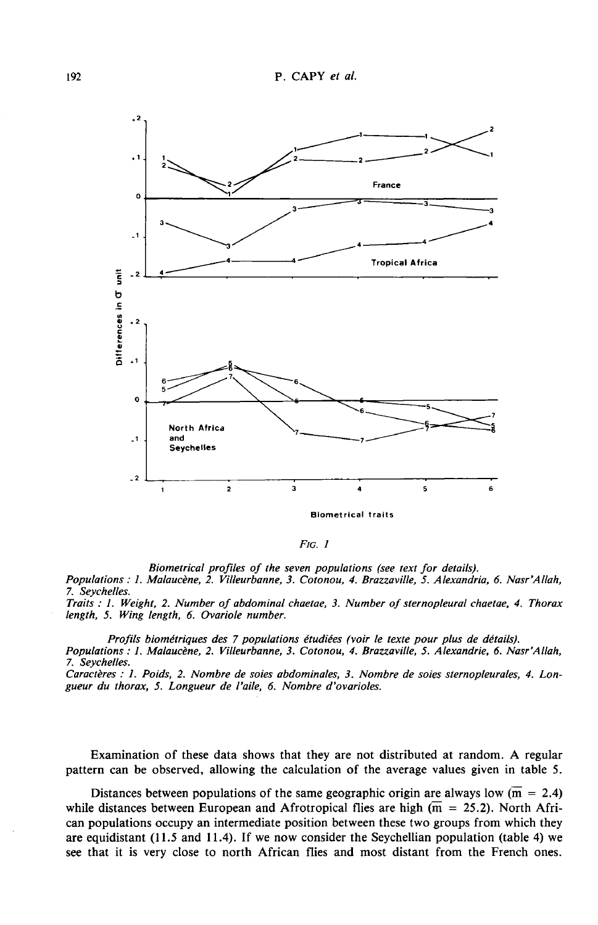

 $Fig. 1$ 

Biometrical profiles of the seven populations (see text for details).

Populations : 1. Malaucène, 2. Villeurbanne, 3. Cotonou, 4. Brazzaville, 5. Alexandria, 6. Nasr'Allah, 7. Seychelles.

Traits : 1. Weight, 2. Number of abdominal chaetae, 3. Number of sternopleural chaetae, 4. Thorax length, 5. Wing length, 6. Ovariole number.

Profils biométriques des 7 populations étudiées (voir le texte pour plus de détails).

Populations : 1. Malaucène, 2. Villeurbanne, 3. Cotonou, 4. Brazzaville, 5. Alexandrie, 6. Nasr'Allah, 7. Seychelles.

Caractères : 1. Poids, 2. Nombre de soies abdominales, 3. Nombre de soies sternopleurales, 4. Longueur du thorax, 5. Longueur de l'aile, 6. Nombre d'ovarioles.

Examination of these data shows that they are not distributed at random. A regular pattern can be observed, allowing the calculation of the average values given in table 5.

Distances between populations of the same geographic origin are always low ( $\overline{m} = 2.4$ ) while distances between European and Afrotropical flies are high  $(m = 25.2)$ . North African populations occupy an intermediate position between these two groups from which they are equidistant  $(11.5 \text{ and } 11.4)$ . If we now consider the Seychellian population (table 4) we see that it is very close to north African flies and most distant from the French ones.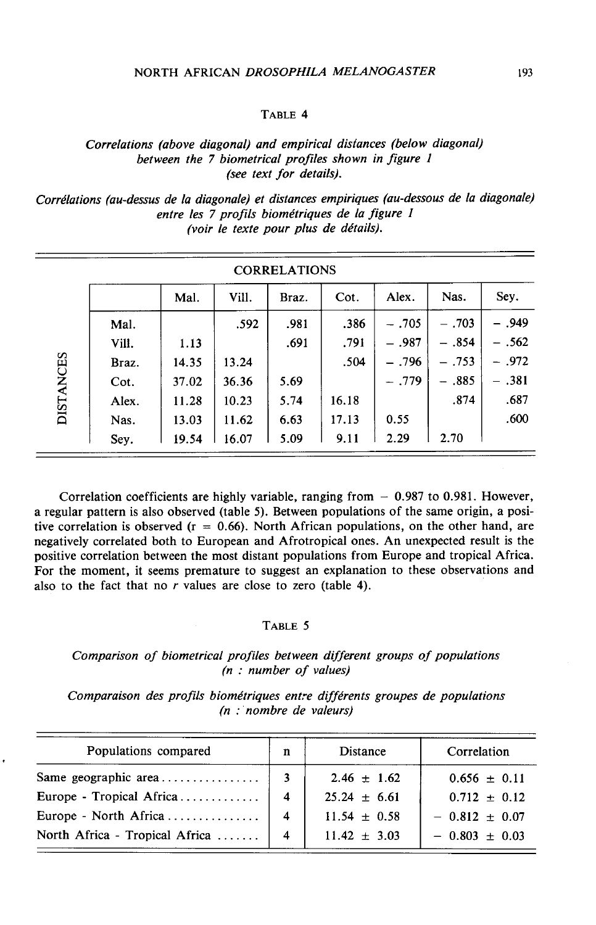### TABLE 4

# Correlations (above diagonal) and empirical distances (below diagonal) between the 7 biometrical profiles shown in figure 1 (see text for details).

Corrélations (au-dessus de la diagonale) et distances empiriques (au-dessous de la diagonale) entre les 7 profils biométriques de la figure 1 (voir le texte pour plus de détails).

| <b>CORRELATIONS</b> |       |       |       |       |       |         |         |         |
|---------------------|-------|-------|-------|-------|-------|---------|---------|---------|
|                     |       | Mal.  | Vill. | Braz. | Cot.  | Alex.   | Nas.    | Sey.    |
|                     | Mal.  |       | .592  | .981  | .386  | $-.705$ | $-.703$ | $-.949$ |
| <b>DISTANCES</b>    | Vill. | 1.13  |       | .691  | .791  | $-.987$ | $-.854$ | $-.562$ |
|                     | Braz. | 14.35 | 13.24 |       | .504  | $-.796$ | $-.753$ | $-.972$ |
|                     | Cot.  | 37.02 | 36.36 | 5.69  |       | $-.779$ | $-.885$ | $-.381$ |
|                     | Alex. | 11.28 | 10.23 | 5.74  | 16.18 |         | .874    | .687    |
|                     | Nas.  | 13.03 | 11.62 | 6.63  | 17.13 | 0.55    |         | .600    |
|                     | Sey.  | 19.54 | 16.07 | 5.09  | 9.11  | 2.29    | 2.70    |         |

Correlation coefficients are highly variable, ranging from  $-0.987$  to 0.981. However, a regular pattern is also observed (table 5). Between populations of the same origin, a positive correlation is observed ( $r = 0.66$ ). North African populations, on the other hand, are negatively correlated both to European and Afrotropical ones. An unexpected result is the positive correlation between the most distant populations from Europe and tropical Africa. For the moment, it seems premature to suggest an explanation to these observations and also to the fact that no  $r$  values are close to zero (table 4).

# TABLE 5

# Comparison of biometrical profiles between different groups of populations  $(n: number of values)$

Comparaison des profils biométriques entre différents groupes de populations  $(n: \textit{nombre de valeurs})$ 

| Populations compared           | n              | Distance         | Correlation       |
|--------------------------------|----------------|------------------|-------------------|
|                                | -3             | $2.46 \pm 1.62$  | $0.656 \pm 0.11$  |
| Europe - Tropical Africa       | $\overline{4}$ | $25.24 \pm 6.61$ | $0.712 \pm 0.12$  |
| Europe - North Africa          | 4              | $11.54 \pm 0.58$ | $-0.812 \pm 0.07$ |
| North Africa - Tropical Africa | 4              | $11.42 \pm 3.03$ | $-0.803 \pm 0.03$ |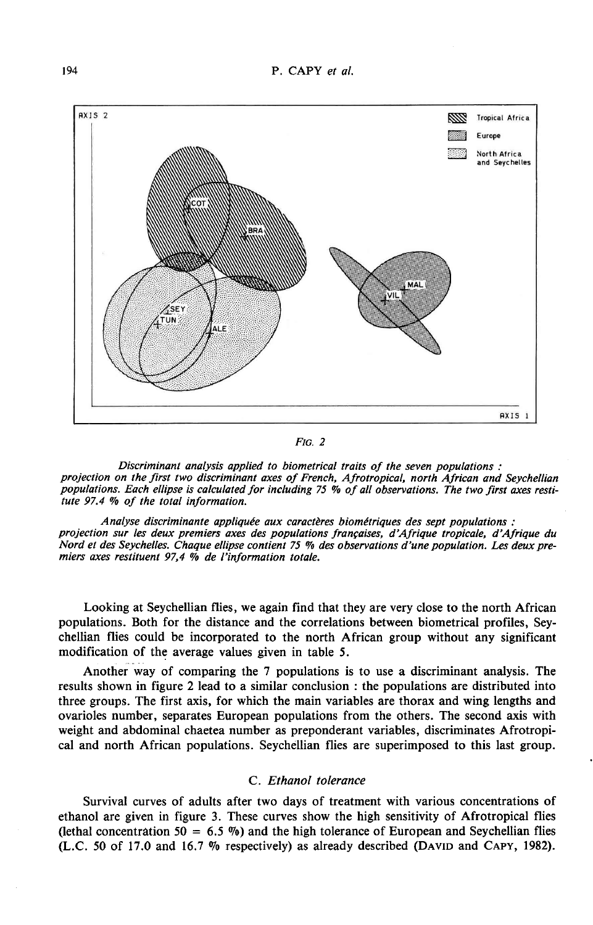

 $Fig. 2$ 

Discriminant analysis applied to biometrical traits of the seven populations: projection on the first two discriminant axes of French, Afrotropical, north African and Seychellian populations. Each ellipse is calculated for including 75 % of all observations. The two first axes restitute 97.4 % of the total information.

Analyse discriminante appliquée aux caractères biométriques des sept populations : projection sur les deux premiers axes des populations françaises, d'Afrique tropicale, d'Afrique du Nord et des Seychelles. Chaque ellipse contient 75 % des observations d'une population. Les deux premiers axes restituent 97,4 % de l'information totale.

Looking at Seychellian flies, we again find that they are very close to the north African populations. Both for the distance and the correlations between biometrical profiles, Seychellian flies could be incorporated to the north African group without any significant modification of the average values given in table 5.

Another way of comparing the 7 populations is to use a discriminant analysis. The results shown in figure 2 lead to a similar conclusion : the populations are distributed into three groups. The first axis, for which the main variables are thorax and wing lengths and ovarioles number, separates European populations from the others. The second axis with weight and abdominal chaetea number as preponderant variables, discriminates Afrotropical and north African populations. Seychellian flies are superimposed to this last group.

### C. Ethanol tolerance

Survival curves of adults after two days of treatment with various concentrations of ethanol are given in figure 3. These curves show the high sensitivity of Afrotropical flies (lethal concentration 50 =  $6.5 \%$ ) and the high tolerance of European and Seychellian flies ethanol are given in figure 3. These curves show the high sensitivity of Afrotropical flies<br>(lethal concentration 50 = 6.5 %) and the high tolerance of European and Seychellian flies<br>(L.C. 50 of 17.0 and 16.7 % respective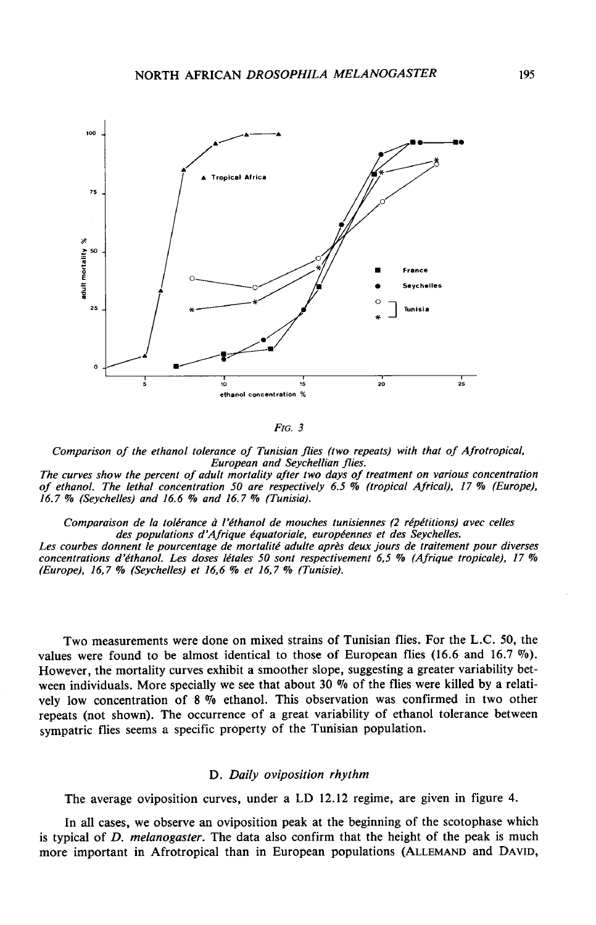

 $Fig. 3$ 

Comparison of the ethanol tolerance of Tunisian flies (two repeats) with that of Afrotropical, European and Sevchellian flies.

The curves show the percent of adult mortality after two days of treatment on various concentration of ethanol. The lethal concentration 50 are respectively 6.5 % (tropical Africal), 17 % (Europe), 16.7 % (Seychelles) and 16.6 % and 16.7 % (Tunisia).

Comparaison de la tolérance à l'éthanol de mouches tunisiennes (2 répétitions) avec celles des populations d'Afrique équatoriale, européennes et des Seychelles.

Les courbes donnent le pourcentage de mortalité adulte après deux jours de traitement pour diverses concentrations d'éthanol. Les doses létales 50 sont respectivement 6,5 % (Afrique tropicale), 17 % (Europe), 16,7 % (Seychelles) et 16,6 % et 16,7 % (Tunisie).

Two measurements were done on mixed strains of Tunisian flies. For the L.C. 50, the values were found to be almost identical to those of European flies (16.6 and 16.7  $\%$ ). However, the mortality curves exhibit a smoother slope, suggesting a greater variability between individuals. More specially we see that about 30 % of the flies were killed by a relatively low concentration of 8 % ethanol. This observation was confirmed in two other repeats (not shown). The occurrence of a great variability of ethanol tolerance between sympatric flies seems a specific property of the Tunisian population.

# D. Daily oviposition rhythm

The average oviposition curves, under a LD 12.12 regime, are given in figure 4.

In all cases, we observe an oviposition peak at the beginning of the scotophase which is typical of  $D$ . *melanogaster*. The data also confirm that the height of the peak is much more important in Afrotropical than in European populations (ALLEMAND and DAVID,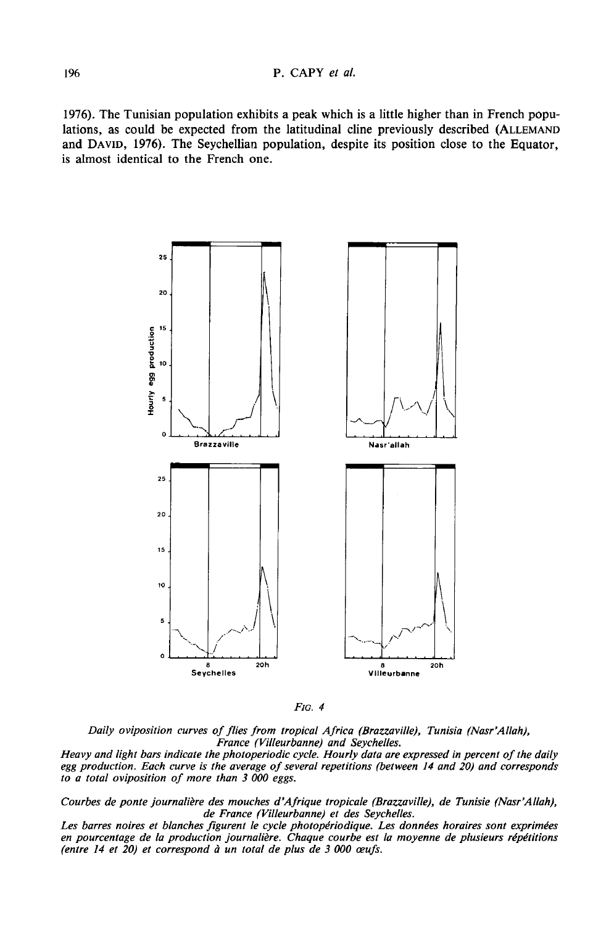1976). The Tunisian population exhibits a peak which is a little higher than in French populations, as could be expected from the latitudinal cline previously described (ALLEMAND and DAVID, 1976). The Seychellian population, despite its position close to the Equator, is almost identical to the French one.



FIG. 4

Daily oviposition curves of flies from tropical Africa (Brazzaville), Tunisia (Nasr'Allah), France (Villeurbanne) and Seychelles.

Heavy and light bars indicate the photoperiodic cycle. Hourly data are expressed in percent of the daily egg production. Each curve is the average of several repetitions (between 14 and 20) and corresponds to a total oviposition of more than 3 000 eggs.

Courbes de ponte journalière des mouches d'Afrique tropicale (Brazzaville), de Tunisie (Nasr'Allah), de France (Villeurbanne) et des Seychelles.

Les barres noires et blanches figurent le cycle photopériodique. Les données horaires sont exprimées en pourcentage de la production journalière. Chaque courbe est la moyenne de plusieurs répétitions (entre 14 et 20) et correspond à un total de plus de 3 000 œufs.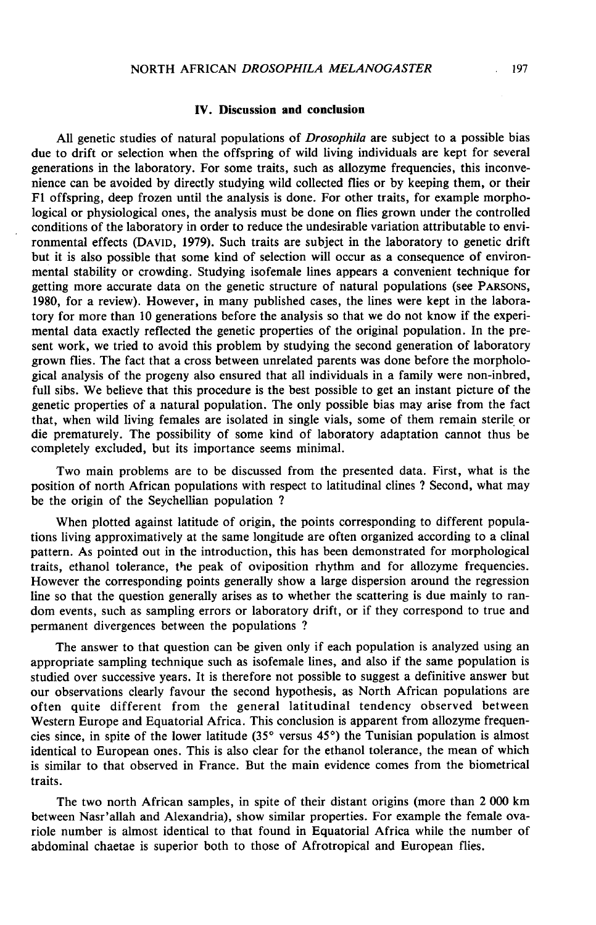#### IV. Discussion and conclusion

All genetic studies of natural populations of *Drosophila* are subject to a possible bias due to drift or selection when the offspring of wild living individuals are kept for several generations in the laboratory. For some traits, such as allozyme frequencies, this inconvenience can be avoided by directly studying wild collected flies or by keeping them, or their Fl offspring, deep frozen until the analysis is done. For other traits, for example morphological or physiological ones, the analysis must be done on flies grown under the controlled conditions of the laboratory in order to reduce the undesirable variation attributable to environmental effects (DAVID, 1979). Such traits are subject in the laboratory to genetic drift but it is also possible that some kind of selection will occur as a consequence of environmental stability or crowding. Studying isofemale lines appears a convenient technique for getting more accurate data on the genetic structure of natural populations (see PARSONS, 1980, for a review). However, in many published cases, the lines were kept in the laboratory for more than 10 generations before the analysis so that we do not know if the experimental data exactly reflected the genetic properties of the original population. In the present work, we tried to avoid this problem by studying the second generation of laboratory grown flies. The fact that a cross between unrelated parents was done before the morphological analysis of the progeny also ensured that all individuals in a family were non-inbred, full sibs. We believe that this procedure is the best possible to get an instant picture of the genetic properties of a natural population. The only possible bias may arise from the fact that, when wild living females are isolated in single vials, some of them remain sterile or die prematurely. The possibility of some kind of laboratory adaptation cannot thus be completely excluded, but its importance seems minimal.

Two main problems are to be discussed from the presented data. First, what is the position of north African populations with respect to latitudinal clines ? Second, what may be the origin of the Seychellian population ?

When plotted against latitude of origin, the points corresponding to different populations living approximatively at the same longitude are often organized according to a clinal pattern. As pointed out in the introduction, this has been demonstrated for morphological traits, ethanol tolerance, the peak of oviposition rhythm and for allozyme frequencies. However the corresponding points generally show a large dispersion around the regression line so that the question generally arises as to whether the scattering is due mainly to random events, such as sampling errors or laboratory drift, or if they correspond to true and permanent divergences between the populations ?

The answer to that question can be given only if each population is analyzed using an appropriate sampling technique such as isofemale lines, and also if the same population is studied over successive years. It is therefore not possible to suggest a definitive answer but our observations clearly favour the second hypothesis, as North African populations are often quite different from the general latitudinal tendency observed between Western Europe and Equatorial Africa. This conclusion is apparent from allozyme frequencies since, in spite of the lower latitude  $(35^{\circ}$  versus  $45^{\circ})$  the Tunisian population is almost identical to European ones. This is also clear for the ethanol tolerance, the mean of which is similar to that observed in France. But the main evidence comes from the biometrical traits.

The two north African samples, in spite of their distant origins (more than 2 000 km between Nasr'allah and Alexandria), show similar properties. For example the female ovariole number is almost identical to that found in Equatorial Africa while the number of abdominal chaetae is superior both to those of Afrotropical and European flies.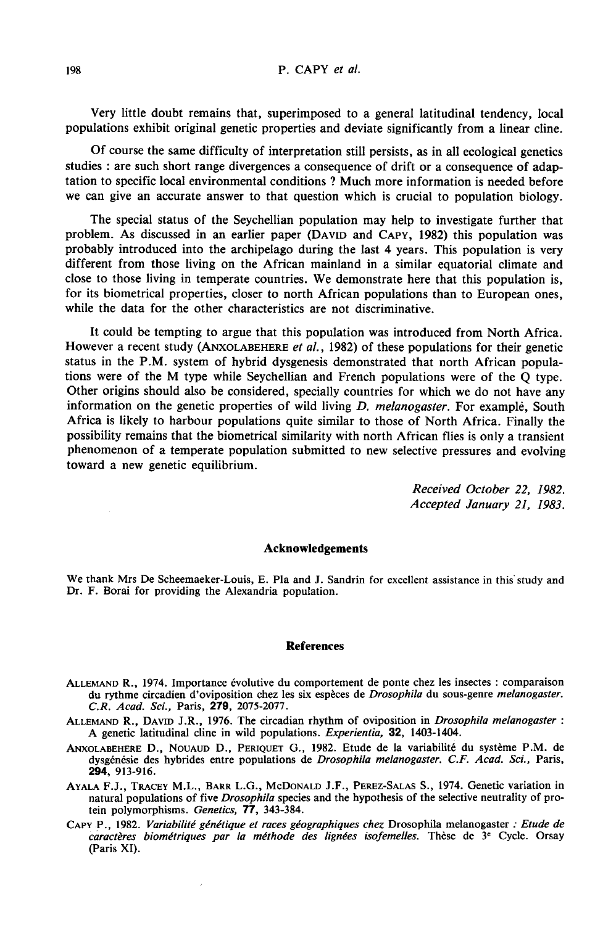Very little doubt remains that, superimposed to a general latitudinal tendency, local populations exhibit original genetic properties and deviate significantly from a linear cline.

Of course the same difficulty of interpretation still persists, as in all ecological genetics studies : are such short range divergences a consequence of drift or a consequence of adaptation to specific local environmental conditions ? Much more information is needed before we can give an accurate answer to that question which is crucial to population biology.

The special status of the Seychellian population may help to investigate further that problem. As discussed in an earlier paper (DAVID and CAPY , 1982) this population was probably introduced into the archipelago during the last 4 years. This population is very different from those living on the African mainland in a similar equatorial climate and close to those living in temperate countries. We demonstrate here that this population is, for its biometrical properties, closer to north African populations than to European ones, while the data for the other characteristics are not discriminative. problem. As discussed in an earlier paper (DAVID and CAPY, 1982) this population was<br>probably introduced into the archipelago during the last 4 years. This population is very<br>different from those living on the African mai

It could be tempting to argue that this population was introduced from North Africa.<br>However a recent study (ANXOLABEHERE *et al.*, 1982) of these populations for their genetic status in the P.M. system of hybrid dysgenesis demonstrated that north African populations were of the M type while Seychellian and French populations were of the O type. Other origins should also be considered, specially countries for which we do not have any information on the genetic properties of wild living D. melanogaster. For example, South Africa is likely to harbour populations quite similar to those of North Africa. Finally the possibility remains that the biometrical similarity with north African flies is only a transient phenomenon of a temperate population submitted to new selective pressures and evolving toward a new genetic equilibrium.

> Received October 22, 1982. Accepted January 21, 1983.

#### Acknowledgements

We thank Mrs De Scheemaeker-Louis, E. Pla and J. Sandrin for excellent assistance in this study and Dr. F. Borai for providing the Alexandria population.

#### References

- **References**<br>ALLEMAND R., 1974. Importance évolutive du comportement de ponte chez les insectes : comparaison<br>du rythme circadien d'oviposition chez les six espèces de *Drosophila* du sous-genre *melanogaster*. du rythme circadien d'oviposition chez les six espèces de Drosophila du sous-genre melanogaster. C.R. Acad. Sci., Paris, 279, 2075-2077. ALLEMAND R., 1974. Importance évolutive du comportement de ponte chez les insectes : comparaison<br>du rythme circadien d'oviposition chez les six espèces de *Drosophila* du sous-genre *melanogaster*.<br>C.R. Acad. Sci., Paris,
- A genetic latitudinal cline in wild populations. Experientia, 32, 1403-1404.
- ALLEMAND R., 1974. Importance évolutive du comportement de ponte chez les insectes : comparaison<br>du rythme circadien d'oviposition chez les six espèces de *Drosophila* du sous-genre *melanogaster.*<br>C.R. Acad. Sci., Paris, dysgénésie des hybrides entre populations de Drosophila melanogaster. C.F. Acad. Sci., Paris, 294, 913-916. C.R. Atal. Scl., Falis, 219, 2013-2011.<br>ALLEMAND R., DAVID J.R., 1976. The circadian rhythm of oviposition in *Drosophila melanogaster*:<br>A genetic latitudinal cline in wild populations. *Experientia*, **32**, 1403-1404.<br>ANXO
- tein polymorphisms. Genetics, 77, 343-384.
- CAPY P., 1982. Variabilité génétique et races géographiques chez Drosophila melanogaster : Etude de caractères biométriques par la méthode des lignées isofemelles. Thèse de  $3<sup>e</sup>$  Cycle. Orsay (Paris XI).